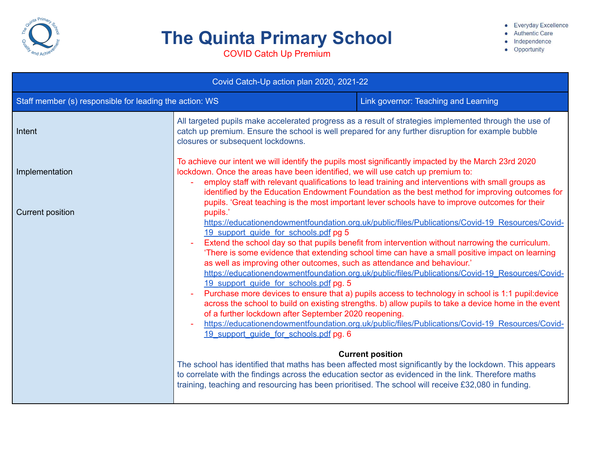

## **The Quinta Primary School**

• Everyday Excellence

- Authentic Care
- · Independence

• Opportunity

COVID Catch Up Premium

| Covid Catch-Up action plan 2020, 2021-22                |                                                                                                                                                                                                                                                                                                                                                                                              |                                                                                                                                                                                                                                                                                                                                                                                                                                                                                                                                                                                                                                                                                                                                                                                                                                                                                                                                                                          |  |  |  |
|---------------------------------------------------------|----------------------------------------------------------------------------------------------------------------------------------------------------------------------------------------------------------------------------------------------------------------------------------------------------------------------------------------------------------------------------------------------|--------------------------------------------------------------------------------------------------------------------------------------------------------------------------------------------------------------------------------------------------------------------------------------------------------------------------------------------------------------------------------------------------------------------------------------------------------------------------------------------------------------------------------------------------------------------------------------------------------------------------------------------------------------------------------------------------------------------------------------------------------------------------------------------------------------------------------------------------------------------------------------------------------------------------------------------------------------------------|--|--|--|
| Staff member (s) responsible for leading the action: WS | Link governor: Teaching and Learning                                                                                                                                                                                                                                                                                                                                                         |                                                                                                                                                                                                                                                                                                                                                                                                                                                                                                                                                                                                                                                                                                                                                                                                                                                                                                                                                                          |  |  |  |
| Intent                                                  | All targeted pupils make accelerated progress as a result of strategies implemented through the use of<br>catch up premium. Ensure the school is well prepared for any further disruption for example bubble<br>closures or subsequent lockdowns.                                                                                                                                            |                                                                                                                                                                                                                                                                                                                                                                                                                                                                                                                                                                                                                                                                                                                                                                                                                                                                                                                                                                          |  |  |  |
| Implementation                                          | lockdown. Once the areas have been identified, we will use catch up premium to:                                                                                                                                                                                                                                                                                                              | To achieve our intent we will identify the pupils most significantly impacted by the March 23rd 2020<br>employ staff with relevant qualifications to lead training and interventions with small groups as<br>identified by the Education Endowment Foundation as the best method for improving outcomes for<br>pupils. 'Great teaching is the most important lever schools have to improve outcomes for their                                                                                                                                                                                                                                                                                                                                                                                                                                                                                                                                                            |  |  |  |
| <b>Current position</b>                                 | pupils.'<br>19 support guide for schools.pdf pg 5<br>as well as improving other outcomes, such as attendance and behaviour.'<br>19 support guide for schools.pdf pg. 5<br>$\equiv$<br>of a further lockdown after September 2020 reopening.<br>19 support quide for schools.pdf pg. 6<br>training, teaching and resourcing has been prioritised. The school will receive £32,080 in funding. | https://educationendowmentfoundation.org.uk/public/files/Publications/Covid-19 Resources/Covid-<br>Extend the school day so that pupils benefit from intervention without narrowing the curriculum.<br>'There is some evidence that extending school time can have a small positive impact on learning<br>https://educationendowmentfoundation.org.uk/public/files/Publications/Covid-19 Resources/Covid-<br>Purchase more devices to ensure that a) pupils access to technology in school is 1:1 pupil: device<br>across the school to build on existing strengths. b) allow pupils to take a device home in the event<br>https://educationendowmentfoundation.org.uk/public/files/Publications/Covid-19 Resources/Covid-<br><b>Current position</b><br>The school has identified that maths has been affected most significantly by the lockdown. This appears<br>to correlate with the findings across the education sector as evidenced in the link. Therefore maths |  |  |  |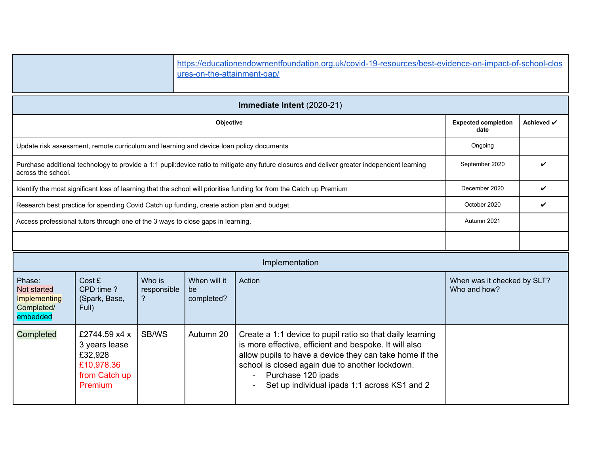|                                                                 |                                                                                            |                            | https://educationendowmentfoundation.org.uk/covid-19-resources/best-evidence-on-impact-of-school-clos<br>ures-on-the-attainment-gap/ |                                                                                                                                                                                                                                                                                                         |                                             |              |  |  |  |
|-----------------------------------------------------------------|--------------------------------------------------------------------------------------------|----------------------------|--------------------------------------------------------------------------------------------------------------------------------------|---------------------------------------------------------------------------------------------------------------------------------------------------------------------------------------------------------------------------------------------------------------------------------------------------------|---------------------------------------------|--------------|--|--|--|
| Immediate Intent (2020-21)                                      |                                                                                            |                            |                                                                                                                                      |                                                                                                                                                                                                                                                                                                         |                                             |              |  |  |  |
|                                                                 | <b>Expected completion</b><br>date                                                         | Achieved √                 |                                                                                                                                      |                                                                                                                                                                                                                                                                                                         |                                             |              |  |  |  |
|                                                                 | Update risk assessment, remote curriculum and learning and device loan policy documents    |                            |                                                                                                                                      |                                                                                                                                                                                                                                                                                                         | Ongoing                                     |              |  |  |  |
| across the school.                                              |                                                                                            |                            |                                                                                                                                      | Purchase additional technology to provide a 1:1 pupil:device ratio to mitigate any future closures and deliver greater independent learning                                                                                                                                                             | September 2020                              | V            |  |  |  |
|                                                                 |                                                                                            |                            |                                                                                                                                      | Identify the most significant loss of learning that the school will prioritise funding for from the Catch up Premium                                                                                                                                                                                    | December 2020                               | $\checkmark$ |  |  |  |
|                                                                 | Research best practice for spending Covid Catch up funding, create action plan and budget. |                            |                                                                                                                                      |                                                                                                                                                                                                                                                                                                         | October 2020                                | $\checkmark$ |  |  |  |
|                                                                 | Access professional tutors through one of the 3 ways to close gaps in learning.            |                            |                                                                                                                                      |                                                                                                                                                                                                                                                                                                         | Autumn 2021                                 |              |  |  |  |
|                                                                 |                                                                                            |                            |                                                                                                                                      |                                                                                                                                                                                                                                                                                                         |                                             |              |  |  |  |
|                                                                 |                                                                                            |                            |                                                                                                                                      | Implementation                                                                                                                                                                                                                                                                                          |                                             |              |  |  |  |
| Phase:<br>Not started<br>Implementing<br>Completed/<br>embedded | Cost £<br>CPD time?<br>(Spark, Base,<br>Full)                                              | Who is<br>responsible<br>? | When will it<br>be<br>completed?                                                                                                     | Action                                                                                                                                                                                                                                                                                                  | When was it checked by SLT?<br>Who and how? |              |  |  |  |
| Completed                                                       | £2744.59 x4 x<br>3 years lease<br>£32,928<br>£10,978.36<br>from Catch up<br>Premium        | SB/WS                      | Autumn 20                                                                                                                            | Create a 1:1 device to pupil ratio so that daily learning<br>is more effective, efficient and bespoke. It will also<br>allow pupils to have a device they can take home if the<br>school is closed again due to another lockdown.<br>Purchase 120 ipads<br>Set up individual ipads 1:1 across KS1 and 2 |                                             |              |  |  |  |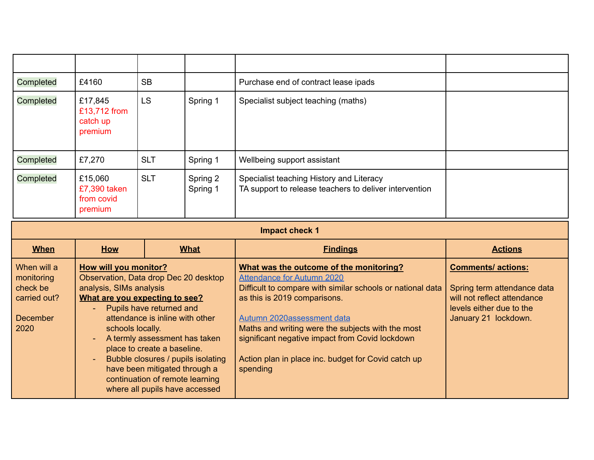| Completed   | £4160                                            | <b>SB</b>  |                      | Purchase end of contract lease ipads                                                               |                |  |  |  |
|-------------|--------------------------------------------------|------------|----------------------|----------------------------------------------------------------------------------------------------|----------------|--|--|--|
| Completed   | £17,845<br>£13,712 from<br>catch up<br>premium   | <b>LS</b>  | Spring 1             | Specialist subject teaching (maths)                                                                |                |  |  |  |
| Completed   | £7,270                                           | <b>SLT</b> | Spring 1             | Wellbeing support assistant                                                                        |                |  |  |  |
| Completed   | £15,060<br>£7,390 taken<br>from covid<br>premium | <b>SLT</b> | Spring 2<br>Spring 1 | Specialist teaching History and Literacy<br>TA support to release teachers to deliver intervention |                |  |  |  |
|             | <b>Impact check 1</b>                            |            |                      |                                                                                                    |                |  |  |  |
|             |                                                  |            |                      |                                                                                                    |                |  |  |  |
| <b>When</b> | How                                              |            | <b>What</b>          | <b>Findings</b>                                                                                    | <b>Actions</b> |  |  |  |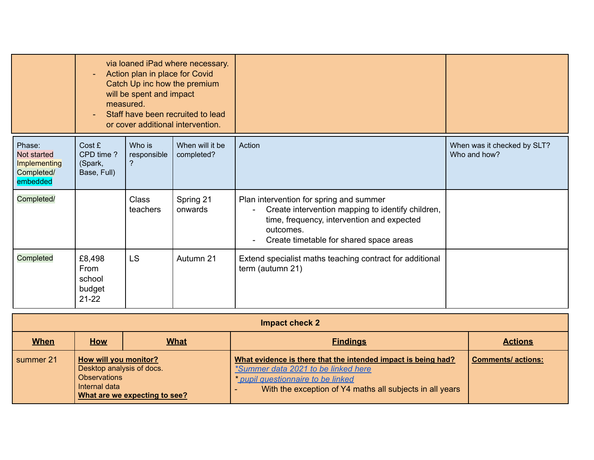|                                                                 | via loaned iPad where necessary.<br>Action plan in place for Covid<br>Catch Up inc how the premium<br>will be spent and impact<br>measured.<br>Staff have been recruited to lead<br>or cover additional intervention. |                            |                               |                                                                                                                                                                                                    |                                             |
|-----------------------------------------------------------------|-----------------------------------------------------------------------------------------------------------------------------------------------------------------------------------------------------------------------|----------------------------|-------------------------------|----------------------------------------------------------------------------------------------------------------------------------------------------------------------------------------------------|---------------------------------------------|
| Phase:<br>Not started<br>Implementing<br>Completed/<br>embedded | Cost £<br>CPD time?<br>(Spark,<br>Base, Full)                                                                                                                                                                         | Who is<br>responsible<br>? | When will it be<br>completed? | Action                                                                                                                                                                                             | When was it checked by SLT?<br>Who and how? |
| Completed/                                                      |                                                                                                                                                                                                                       | Class<br>teachers          | Spring 21<br>onwards          | Plan intervention for spring and summer<br>Create intervention mapping to identify children,<br>time, frequency, intervention and expected<br>outcomes.<br>Create timetable for shared space areas |                                             |
| Completed                                                       | £8,498<br>From<br>school<br>budget<br>$21 - 22$                                                                                                                                                                       | <b>LS</b>                  | Autumn 21                     | Extend specialist maths teaching contract for additional<br>term (autumn 21)                                                                                                                       |                                             |

| Impact check 2 |                                                                                                                                    |  |                                                                                                                                                                                                        |                          |  |  |
|----------------|------------------------------------------------------------------------------------------------------------------------------------|--|--------------------------------------------------------------------------------------------------------------------------------------------------------------------------------------------------------|--------------------------|--|--|
| <b>When</b>    | <b>What</b><br><b>Findings</b><br><b>How</b>                                                                                       |  |                                                                                                                                                                                                        |                          |  |  |
| summer 21      | <b>How will you monitor?</b><br>Desktop analysis of docs.<br><b>Observations</b><br>Internal data<br>What are we expecting to see? |  | What evidence is there that the intended impact is being had?<br>*Summer data 2021 to be linked here<br>* pupil questionnaire to be linked<br>With the exception of Y4 maths all subjects in all years | <b>Comments/actions:</b> |  |  |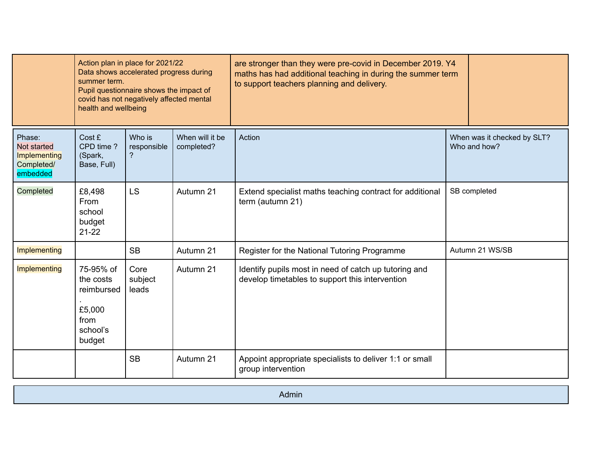|                                                                 | Action plan in place for 2021/22<br>Data shows accelerated progress during<br>summer term.<br>Pupil questionnaire shows the impact of<br>covid has not negatively affected mental<br>health and wellbeing |                            |                               | are stronger than they were pre-covid in December 2019. Y4<br>maths has had additional teaching in during the summer term<br>to support teachers planning and delivery. |              |                                             |
|-----------------------------------------------------------------|-----------------------------------------------------------------------------------------------------------------------------------------------------------------------------------------------------------|----------------------------|-------------------------------|-------------------------------------------------------------------------------------------------------------------------------------------------------------------------|--------------|---------------------------------------------|
| Phase:<br>Not started<br>Implementing<br>Completed/<br>embedded | Cost £<br>CPD time?<br>(Spark,<br>Base, Full)                                                                                                                                                             | Who is<br>responsible<br>? | When will it be<br>completed? | Action                                                                                                                                                                  |              | When was it checked by SLT?<br>Who and how? |
| Completed                                                       | £8,498<br>From<br>school<br>budget<br>$21 - 22$                                                                                                                                                           | <b>LS</b>                  | Autumn 21                     | Extend specialist maths teaching contract for additional<br>term (autumn 21)                                                                                            | SB completed |                                             |
| <b>Implementing</b>                                             |                                                                                                                                                                                                           | <b>SB</b>                  | Autumn 21                     | Register for the National Tutoring Programme                                                                                                                            |              | Autumn 21 WS/SB                             |
| <b>Implementing</b>                                             | 75-95% of<br>the costs<br>reimbursed<br>£5,000<br>from<br>school's<br>budget                                                                                                                              | Core<br>subject<br>leads   | Autumn 21                     | Identify pupils most in need of catch up tutoring and<br>develop timetables to support this intervention                                                                |              |                                             |
|                                                                 |                                                                                                                                                                                                           | <b>SB</b>                  | Autumn 21                     | Appoint appropriate specialists to deliver 1:1 or small<br>group intervention                                                                                           |              |                                             |

| ---          |
|--------------|
| <b>Admin</b> |
|              |